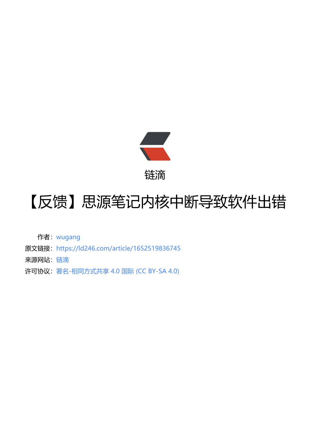

链滴

## 【反馈】思源笔记[内核](https://ld246.com)中断导致软件出错

作者:wugang

- 原文链接:https://ld246.com/article/1652519836745
- 来源网站:[链滴](https://ld246.com/member/wugang)
- 许可协议:[署名-相同方式共享 4.0 国际 \(CC BY-SA 4.0\)](https://ld246.com/article/1652519836745)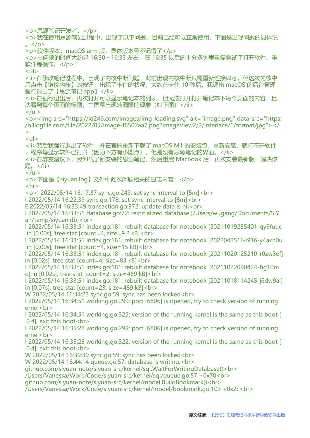<p>思源笔记开发者:</p> <p>我在使用思源笔记过程中,出现了以下问题,目前已经可以正常使用,下面是出现问题的具体说  $\langle$  </p> <p>软件版本:macOS arm 版,具体版本号不记得了</p> <p>出问题的时间大约是 16:30~16:35 左右, 在 16:35 以后的十分多钟里重复尝试了打开软件、重 软件等操作。</p>  $|<sub>u</sub>|$ <li>在修改笔记过程中,出现了内核中断问题,此前出现内核中断只需重新连接即可,但这次内核中 后点击【链接内核】的按钮,出现了卡住的状况,大约在卡住 10 秒后,我调出 macOS 的后台管理 强行退出了【思源笔记.app】</li> <li>在强行退出后,再次打开可以显示笔记本的列表,但无法打开打开笔记本下每个页面的内容,且 法看到每个页面的标题,主屏幕出现转圈圈的现象(如下图)</li>  $\langle$ /ul $\rangle$ <p><img src="https://ld246.com/images/img-loading.svg" alt="image.png" data-src="https: /b3logfile.com/file/2022/05/image-f8502aa7.png?imageView2/2/interlace/1/format/jpg"></ >  $|<sub>u</sub>|$ <li>然后我强行退出了软件,并在官网重新下载了 macOS M1 的安装包,重新安装,就打不开软件 ,程序坞显示软件已打开(因为下方有小圆点),但是没有思源笔记的界面。</li> <li>在群友建议下,我卸载了新安装的思源笔记,然后重启 MacBook 后,再次安装最新版,解决该 题。</li>  $\langle$ /ul $\rangle$ <p>下面是【siyuan.log】文件中此次问题相关的日志内容:</p>  $\mathsf{hr}\mathsf{>}$ <p>I 2022/05/14 16:17:37 sync.go:249: set sync interval to [5m]<br> I 2022/05/14 16:22:39 sync.go:178: set sync interval to [8m]<br> E 2022/05/14 16:33:49 transaction.go:972: update data is nil<br> I 2022/05/14 16:33:51 database.go:72: reinitialized database [/Users/wugang/Documents/SiY an/temp/siyuan.db]<br> I 2022/05/14 16:33:51 index.go:181: rebuilt database for notebook [20211019235401-qy9fuuc in [0.00s], tree stat [count=4, size=9.2 kB]<br> I 2022/05/14 16:33:51 index.go:181: rebuilt database for notebook [20220425164916-y4axn0u in [0.00s], tree stat [count=4, size=15 kB]<br> I 2022/05/14 16:33:51 index.go:181: rebuilt database for notebook [20211020125210-r0zw3ef] in [0.02s], tree stat [count=4, size=83 kB]<br> I 2022/05/14 16:33:51 index.go:181: rebuilt database for notebook [20211022090424-hg10m o] in [0.02s], tree stat [count=2, size=469 kB]<br> I 2022/05/14 16:33:51 index.go:181: rebuilt database for notebook [20211018114245-j6dw9al] in [0.07s], tree stat [count=23, size=489 kB]<br> W 2022/05/14 16:34:23 sync.go:59: sync has been locked<br> I 2022/05/14 16:34:51 working.go:299: port [6806] is opened, try to check version of running ernel<br> I 2022/05/14 16:34:51 working.go:322: version of the running kernel is the same as this boot [ .0.4], exit this boot<br> I 2022/05/14 16:35:28 working.go:299: port [6806] is opened, try to check version of running ernel<br> I 2022/05/14 16:35:28 working.go:322: version of the running kernel is the same as this boot [ .0.4], exit this boot<br> W 2022/05/14 16:39:39 sync.go:59: sync has been locked<br> W 2022/05/14 16:44:14 queue.go:57: database is writing:<br> github.com/siyuan-note/siyuan-src/kernel/sql.WaitForWritingDatabase()<br> /Users/Vanessa/Work/Code/siyuan-src/kernel/sql/queue.go:57 +0x70<br> github.com/siyuan-note/siyuan-src/kernel/model.BuildBookmark()<br> /Users/Vanessa/Work/Code/siyuan-src/kernel/model/bookmark.go:103 +0x2c<br>